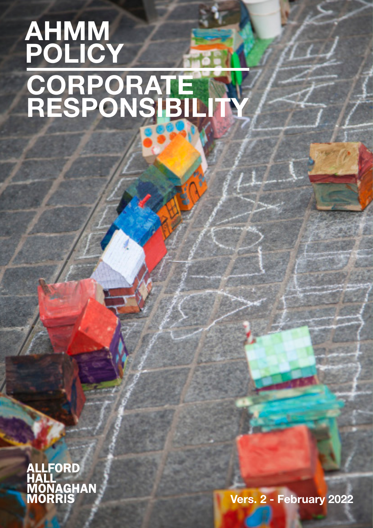# **CORPORATE RESPONSIBILITY AHMM** POLICY



Vers. 2 - February 2022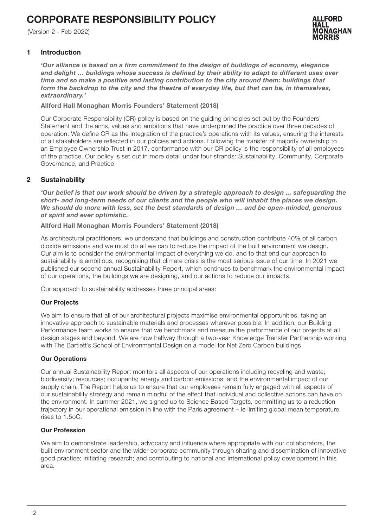# CORPORATE RESPONSIBILITY POLICY

(Version 2 - Feb 2022)



### 1 Introduction

*'Our alliance is based on a firm commitment to the design of buildings of economy, elegance and delight … buildings whose success is defined by their ability to adapt to different uses over time and so make a positive and lasting contribution to the city around them: buildings that*  form the backdrop to the city and the theatre of everyday life, but that can be, in themselves, *extraordinary.'*

Allford Hall Monaghan Morris Founders' Statement (2018)

Our Corporate Responsibility (CR) policy is based on the guiding principles set out by the Founders' Statement and the aims, values and ambitions that have underpinned the practice over three decades of operation. We define CR as the integration of the practice's operations with its values, ensuring the interests of all stakeholders are reflected in our policies and actions. Following the transfer of majority ownership to an Employee Ownership Trust in 2017, conformance with our CR policy is the responsibility of all employees of the practice. Our policy is set out in more detail under four strands: Sustainability, Community, Corporate Governance, and Practice.

# 2 Sustainability

*'Our belief is that our work should be driven by a strategic approach to design ... safeguarding the short- and long-term needs of our clients and the people who will inhabit the places we design. We should do more with less, set the best standards of design … and be open-minded, generous of spirit and ever optimistic.*

Allford Hall Monaghan Morris Founders' Statement (2018)

As architectural practitioners, we understand that buildings and construction contribute 40% of all carbon dioxide emissions and we must do all we can to reduce the impact of the built environment we design. Our aim is to consider the environmental impact of everything we do, and to that end our approach to sustainability is ambitious, recognising that climate crisis is the most serious issue of our time. In 2021 we published our second annual Sustainability Report, which continues to benchmark the environmental impact of our operations, the buildings we are designing, and our actions to reduce our impacts.

Our approach to sustainability addresses three principal areas:

# Our Projects

We aim to ensure that all of our architectural projects maximise environmental opportunities, taking an innovative approach to sustainable materials and processes wherever possible. In addition, our Building Performance team works to ensure that we benchmark and measure the performance of our projects at all design stages and beyond. We are now halfway through a two-year Knowledge Transfer Partnership working with The Bartlett's School of Environmental Design on a model for Net Zero Carbon buildings

#### Our Operations

Our annual Sustainability Report monitors all aspects of our operations including recycling and waste; biodiversity; resources; occupants; energy and carbon emissions; and the environmental impact of our supply chain. The Report helps us to ensure that our employees remain fully engaged with all aspects of our sustainability strategy and remain mindful of the effect that individual and collective actions can have on the environment. In summer 2021, we signed up to Science Based Targets, committing us to a reduction trajectory in our operational emission in line with the Paris agreement – ie limiting global mean temperature rises to 1.5oC.

#### Our Profession

We aim to demonstrate leadership, advocacy and influence where appropriate with our collaborators, the built environment sector and the wider corporate community through sharing and dissemination of innovative good practice; initiating research; and contributing to national and international policy development in this area.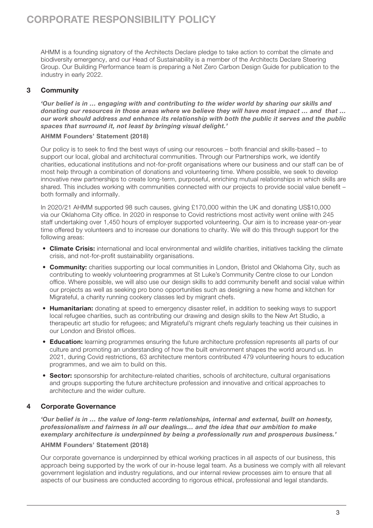AHMM is a founding signatory of the Architects Declare pledge to take action to combat the climate and biodiversity emergency, and our Head of Sustainability is a member of the Architects Declare Steering Group. Our Building Performance team is preparing a Net Zero Carbon Design Guide for publication to the industry in early 2022.

# 3 Community

*'Our belief is in … engaging with and contributing to the wider world by sharing our skills and donating our resources in those areas where we believe they will have most impact … and that … our work should address and enhance its relationship with both the public it serves and the public spaces that surround it, not least by bringing visual delight.'* 

### AHMM Founders' Statement (2018)

Our policy is to seek to find the best ways of using our resources – both financial and skills-based – to support our local, global and architectural communities. Through our Partnerships work, we identify charities, educational institutions and not-for-profit organisations where our business and our staff can be of most help through a combination of donations and volunteering time. Where possible, we seek to develop innovative new partnerships to create long-term, purposeful, enriching mutual relationships in which skills are shared. This includes working with communities connected with our projects to provide social value benefit both formally and informally.

In 2020/21 AHMM supported 98 such causes, giving £170,000 within the UK and donating US\$10,000 via our Oklahoma City office. In 2020 in response to Covid restrictions most activity went online with 245 staff undertaking over 1,450 hours of employer supported volunteering. Our aim is to increase year-on-year time offered by volunteers and to increase our donations to charity. We will do this through support for the following areas:

- Climate Crisis: international and local environmental and wildlife charities, initiatives tackling the climate crisis, and not-for-profit sustainability organisations.
- Community: charities supporting our local communities in London, Bristol and Oklahoma City, such as contributing to weekly volunteering programmes at St Luke's Community Centre close to our London office. Where possible, we will also use our design skills to add community benefit and social value within our projects as well as seeking pro bono opportunities such as designing a new home and kitchen for Migrateful, a charity running cookery classes led by migrant chefs.
- Humanitarian: donating at speed to emergency disaster relief, in addition to seeking ways to support local refugee charities, such as contributing our drawing and design skills to the New Art Studio, a therapeutic art studio for refugees; and Migrateful's migrant chefs regularly teaching us their cuisines in our London and Bristol offices.
- Education: learning programmes ensuring the future architecture profession represents all parts of our culture and promoting an understanding of how the built environment shapes the world around us. In 2021, during Covid restrictions, 63 architecture mentors contributed 479 volunteering hours to education programmes, and we aim to build on this.
- Sector: sponsorship for architecture-related charities, schools of architecture, cultural organisations and groups supporting the future architecture profession and innovative and critical approaches to architecture and the wider culture.

# 4 Corporate Governance

*'Our belief is in … the value of long-term relationships, internal and external, built on honesty, professionalism and fairness in all our dealings… and the idea that our ambition to make exemplary architecture is underpinned by being a professionally run and prosperous business.'*

#### AHMM Founders' Statement (2018)

Our corporate governance is underpinned by ethical working practices in all aspects of our business, this approach being supported by the work of our in-house legal team. As a business we comply with all relevant government legislation and industry regulations, and our internal review processes aim to ensure that all aspects of our business are conducted according to rigorous ethical, professional and legal standards.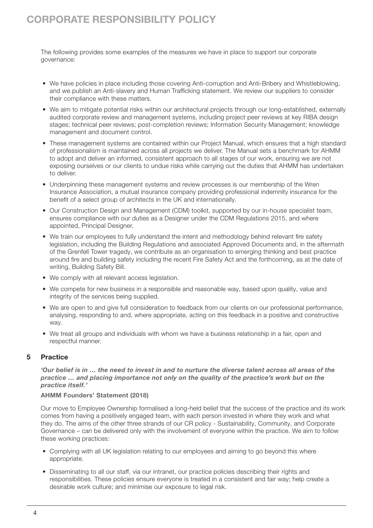The following provides some examples of the measures we have in place to support our corporate governance:

- We have policies in place including those covering Anti-corruption and Anti-Bribery and Whistleblowing, and we publish an Anti-slavery and Human Trafficking statement. We review our suppliers to consider their compliance with these matters.
- We aim to mitigate potential risks within our architectural projects through our long-established, externally audited corporate review and management systems, including project peer reviews at key RIBA design stages; technical peer reviews; post-completion reviews; Information Security Management; knowledge management and document control.
- These management systems are contained within our Project Manual, which ensures that a high standard of professionalism is maintained across all projects we deliver. The Manual sets a benchmark for AHMM to adopt and deliver an informed, consistent approach to all stages of our work, ensuring we are not exposing ourselves or our clients to undue risks while carrying out the duties that AHMM has undertaken to deliver.
- Underpinning these management systems and review processes is our membership of the Wren Insurance Association, a mutual insurance company providing professional indemnity insurance for the benefit of a select group of architects in the UK and internationally.
- Our Construction Design and Management (CDM) toolkit, supported by our in-house specialist team, ensures compliance with our duties as a Designer under the CDM Regulations 2015, and where appointed, Principal Designer.
- We train our employees to fully understand the intent and methodology behind relevant fire safety legislation, including the Building Regulations and associated Approved Documents and, in the aftermath of the Grenfell Tower tragedy, we contribute as an organisation to emerging thinking and best practice around fire and building safety including the recent Fire Safety Act and the forthcoming, as at the date of writing, Building Safety Bill.
- We comply with all relevant access legislation.
- We compete for new business in a responsible and reasonable way, based upon quality, value and integrity of the services being supplied.
- We are open to and give full consideration to feedback from our clients on our professional performance, analysing, responding to and, where appropriate, acting on this feedback in a positive and constructive way.
- We treat all groups and individuals with whom we have a business relationship in a fair, open and respectful manner.

# 5 Practice

*'Our belief is in … the need to invest in and to nurture the diverse talent across all areas of the practice … and placing importance not only on the quality of the practice's work but on the practice itself.'* 

# AHMM Founders' Statement (2018)

Our move to Employee Ownership formalised a long-held belief that the success of the practice and its work comes from having a positively engaged team, with each person invested in where they work and what they do. The aims of the other three strands of our CR policy - Sustainability, Community, and Corporate Governance – can be delivered only with the involvement of everyone within the practice. We aim to follow these working practices:

- Complying with all UK legislation relating to our employees and aiming to go beyond this where appropriate.
- Disseminating to all our staff, via our intranet, our practice policies describing their rights and responsibilities. These policies ensure everyone is treated in a consistent and fair way; help create a desirable work culture; and minimise our exposure to legal risk.